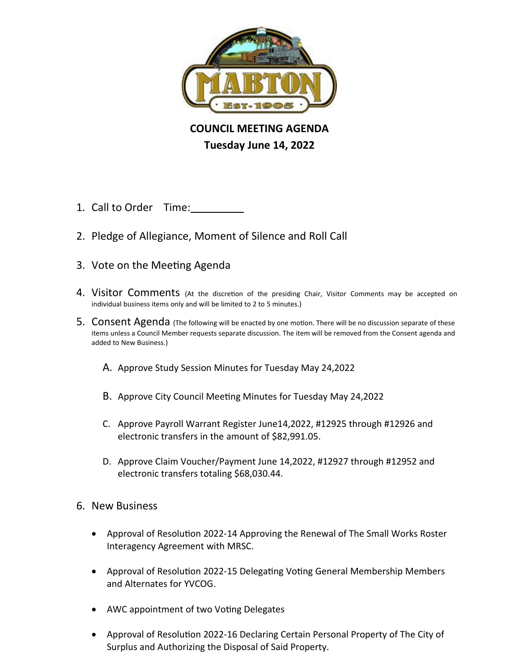

## **COUNCIL MEETING AGENDA Tuesday June 14, 2022**

- 1. Call to Order Time:
- 2. Pledge of Allegiance, Moment of Silence and Roll Call
- 3. Vote on the Meeting Agenda
- 4. Visitor Comments (At the discretion of the presiding Chair, Visitor Comments may be accepted on individual business items only and will be limited to 2 to 5 minutes.)
- 5. Consent Agenda (The following will be enacted by one motion. There will be no discussion separate of these items unless a Council Member requests separate discussion. The item will be removed from the Consent agenda and added to New Business.)
	- A. Approve Study Session Minutes for Tuesday May 24,2022
	- B. Approve City Council Meeting Minutes for Tuesday May 24,2022
	- C. Approve Payroll Warrant Register June14,2022, #12925 through #12926 and electronic transfers in the amount of \$82,991.05.
	- D. Approve Claim Voucher/Payment June 14,2022, #12927 through #12952 and electronic transfers totaling \$68,030.44.
- 6. New Business
	- Approval of Resolution 2022-14 Approving the Renewal of The Small Works Roster Interagency Agreement with MRSC.
	- Approval of Resolution 2022-15 Delegating Voting General Membership Members and Alternates for YVCOG.
	- AWC appointment of two Voting Delegates
	- Approval of Resolution 2022-16 Declaring Certain Personal Property of The City of Surplus and Authorizing the Disposal of Said Property.